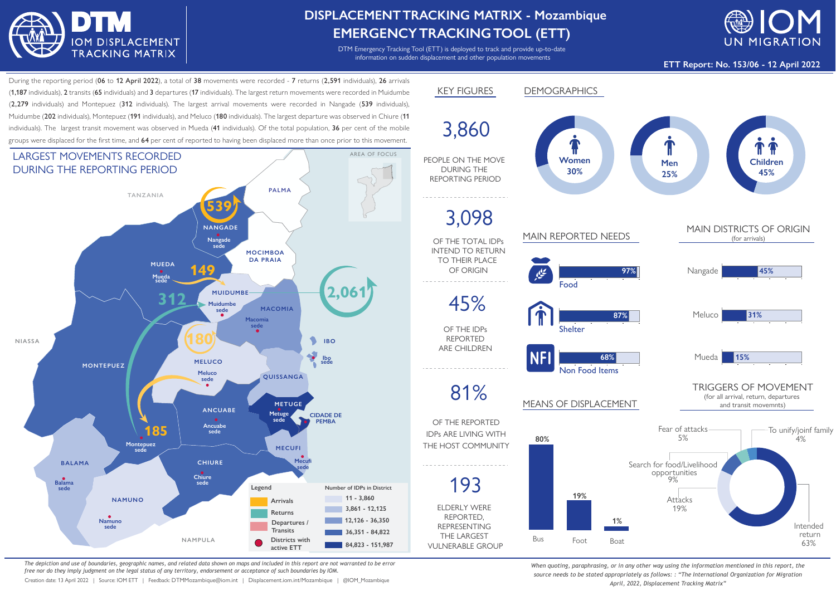

## **DISPLACEMENTTRACKING MATRIX - Mozambique EMERGENCYTRACKINGTOOL (ETT)**

DTM Emergency Tracking Tool (ETT) is deployed to track and provide up-to-date information on sudden displacement and other population movements



**ETT Report: No. 153/06 - 12 April 2022**

During the reporting period (06 to 12 April 2022), a total of 38 movements were recorded - 7 returns (2,591 individuals), 26 arrivals (1,187 individuals), 2 transits (65 individuals) and 3 departures (17 individuals). The largest return movements were recorded in Muidumbe (2,279 individuals) and Montepuez (312 individuals). The largest arrival movements were recorded in Nangade (539 individuals), Muidumbe (202 individuals), Montepuez (191 individuals), and Meluco (180 individuals). The largest departure was observed in Chiure (11 individuals). The largest transit movement was observed in Mueda (41 individuals). Of the total population, 36 per cent of the mobile groups were displaced for the first time, and 64 per cent of reported to having been displaced more than once prior to this movement.



*The depiction and use of boundaries, geographic names, and related data shown on maps and included in this report are not warranted to be error free nor do they imply judgment on the legal status of any territory, endorsement or acceptance of such boundaries by IOM.*

Creation date: 13 April 2022 | Source: IOM ETT | Feedback: DTMMozambique@iom.int | Displacement.iom.int/Mozambique | @IOM\_Mozambique



*When quoting, paraphrasing, or in any other way using the information mentioned in this report, the source needs to be stated appropriately as follows: : "The International Organization for Migration April, 2022, Displacement Tracking Matrix"*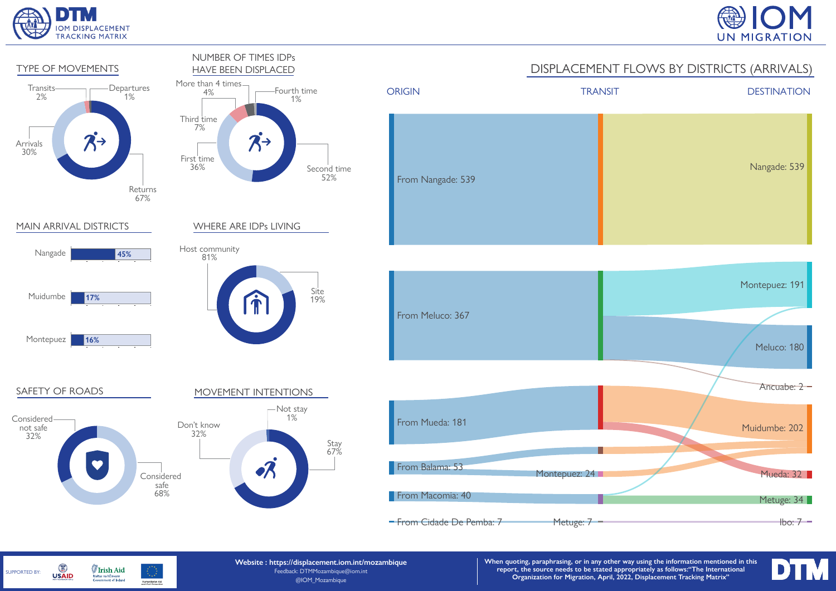

SUPPORTED BY:

G

**USAID** 

**Irish Aid** 

Rialtas na hÉireann<br>Government of Ireland





Humanitarian Aid<br>and Civil Protection

**Website : https://displacement.iom.int/mozambique** Feedback: DTMMozambique@iom.int @IOM\_Mozambique

**When quoting, paraphrasing, or in any other way using the information mentioned in this report, the source needs to be stated appropriately as follows:"The International Organization for Migration, April, 2022, Displacement Tracking Matrix"**